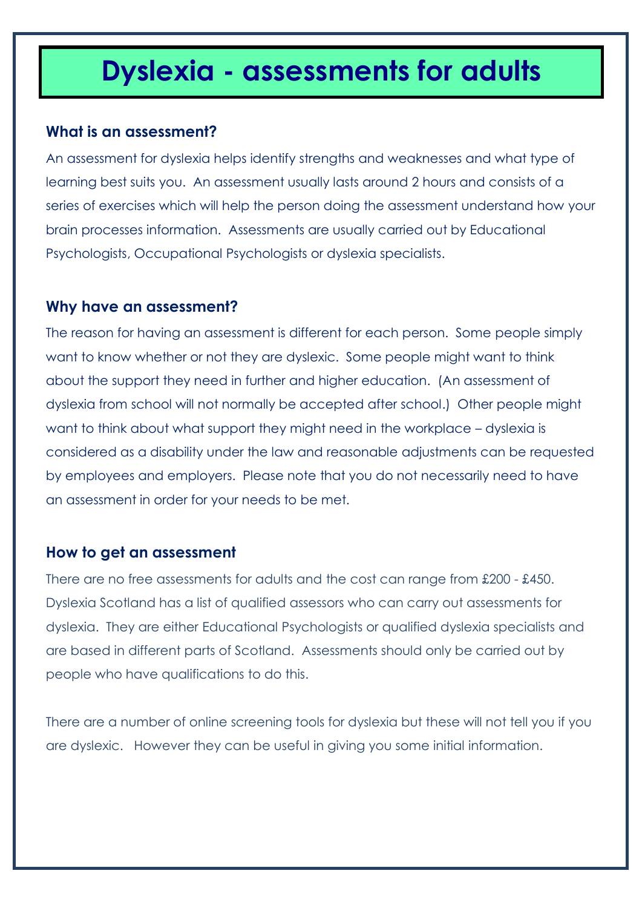# **Information that can be used to be used to be used to be used to be used to be used to be used to be used to be u**

### **What is an assessment?**

An assessment for dyslexia helps identify strengths and weaknesses and what type of learning best suits you. An assessment usually lasts around 2 hours and consists of a series of exercises which will help the person doing the assessment understand how your brain processes information. Assessments are usually carried out by Educational Psychologists, Occupational Psychologists or dyslexia specialists.

## **Why have an assessment?**

The reason for having an assessment is different for each person. Some people simply want to know whether or not they are dyslexic. Some people might want to think about the support they need in further and higher education. (An assessment of dyslexia from school will not normally be accepted after school.) Other people might want to think about what support they might need in the workplace – dyslexia is considered as a disability under the law and reasonable adjustments can be requested by employees and employers. Please note that you do not necessarily need to have an assessment in order for your needs to be met.

## **How to get an assessment**

There are no free assessments for adults and the cost can range from £200 - £450. Dyslexia Scotland has a list of qualified assessors who can carry out assessments for dyslexia. They are either Educational Psychologists or qualified dyslexia specialists and are based in different parts of Scotland. Assessments should only be carried out by people who have qualifications to do this.

There are a number of online screening tools for dyslexia but these will not tell you if you are dyslexic. However they can be useful in giving you some initial information.